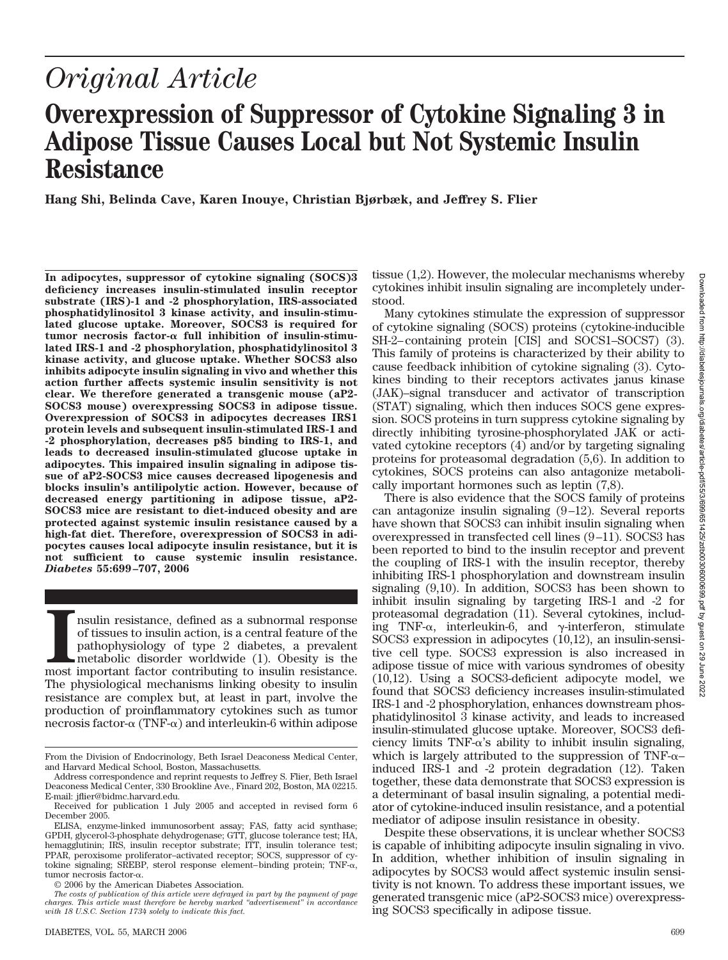# **Overexpression of Suppressor of Cytokine Signaling 3 in Adipose Tissue Causes Local but Not Systemic Insulin Resistance**

**Hang Shi, Belinda Cave, Karen Inouye, Christian Bjørbæk, and Jeffrey S. Flier**

**In adipocytes, suppressor of cytokine signaling (SOCS)3 deficiency increases insulin-stimulated insulin receptor substrate (IRS)-1 and -2 phosphorylation, IRS-associated phosphatidylinositol 3 kinase activity, and insulin-stimulated glucose uptake. Moreover, SOCS3 is required for** tumor necrosis factor-α full inhibition of insulin-stimu**lated IRS-1 and -2 phosphorylation, phosphatidylinositol 3 kinase activity, and glucose uptake. Whether SOCS3 also inhibits adipocyte insulin signaling in vivo and whether this action further affects systemic insulin sensitivity is not clear. We therefore generated a transgenic mouse (aP2- SOCS3 mouse) overexpressing SOCS3 in adipose tissue. Overexpression of SOCS3 in adipocytes decreases IRS1 protein levels and subsequent insulin-stimulated IRS-1 and -2 phosphorylation, decreases p85 binding to IRS-1, and leads to decreased insulin-stimulated glucose uptake in adipocytes. This impaired insulin signaling in adipose tissue of aP2-SOCS3 mice causes decreased lipogenesis and blocks insulin's antilipolytic action. However, because of decreased energy partitioning in adipose tissue, aP2- SOCS3 mice are resistant to diet-induced obesity and are protected against systemic insulin resistance caused by a high-fat diet. Therefore, overexpression of SOCS3 in adipocytes causes local adipocyte insulin resistance, but it is not sufficient to cause systemic insulin resistance.** *Diabetes* **55:699–707, 2006**

III must important factor contributing to insulin resistance, defined as a subnormal response of tissues to insulin action, is a central feature of the pathophysiology of type 2 diabetes, a prevalent metabolic disorder wor nsulin resistance, defined as a subnormal response of tissues to insulin action, is a central feature of the pathophysiology of type 2 diabetes, a prevalent metabolic disorder worldwide (1). Obesity is the The physiological mechanisms linking obesity to insulin resistance are complex but, at least in part, involve the production of proinflammatory cytokines such as tumor necrosis factor- $\alpha$  (TNF- $\alpha$ ) and interleukin-6 within adipose

© 2006 by the American Diabetes Association.

tissue (1,2). However, the molecular mechanisms whereby cytokines inhibit insulin signaling are incompletely understood.

Many cytokines stimulate the expression of suppressor of cytokine signaling (SOCS) proteins (cytokine-inducible SH-2– containing protein [CIS] and SOCS1–SOCS7) (3). This family of proteins is characterized by their ability to cause feedback inhibition of cytokine signaling (3). Cytokines binding to their receptors activates janus kinase (JAK)–signal transducer and activator of transcription (STAT) signaling, which then induces SOCS gene expression. SOCS proteins in turn suppress cytokine signaling by directly inhibiting tyrosine-phosphorylated JAK or activated cytokine receptors (4) and/or by targeting signaling proteins for proteasomal degradation (5,6). In addition to cytokines, SOCS proteins can also antagonize metabolically important hormones such as leptin (7,8).

There is also evidence that the SOCS family of proteins can antagonize insulin signaling  $(9-12)$ . Several reports have shown that SOCS3 can inhibit insulin signaling when overexpressed in transfected cell lines (9 –11). SOCS3 has been reported to bind to the insulin receptor and prevent the coupling of IRS-1 with the insulin receptor, thereby inhibiting IRS-1 phosphorylation and downstream insulin signaling (9,10). In addition, SOCS3 has been shown to inhibit insulin signaling by targeting IRS-1 and -2 for proteasomal degradation (11). Several cytokines, including TNF- $\alpha$ , interleukin-6, and  $\gamma$ -interferon, stimulate SOCS3 expression in adipocytes (10,12), an insulin-sensitive cell type. SOCS3 expression is also increased in adipose tissue of mice with various syndromes of obesity (10,12). Using a SOCS3-deficient adipocyte model, we found that SOCS3 deficiency increases insulin-stimulated IRS-1 and -2 phosphorylation, enhances downstream phosphatidylinositol 3 kinase activity, and leads to increased insulin-stimulated glucose uptake. Moreover, SOCS3 deficiency limits TNF- $\alpha$ 's ability to inhibit insulin signaling, which is largely attributed to the suppression of TNF- $\alpha$ – induced IRS-1 and -2 protein degradation (12). Taken together, these data demonstrate that SOCS3 expression is a determinant of basal insulin signaling, a potential mediator of cytokine-induced insulin resistance, and a potential mediator of adipose insulin resistance in obesity.

Despite these observations, it is unclear whether SOCS3 is capable of inhibiting adipocyte insulin signaling in vivo. In addition, whether inhibition of insulin signaling in adipocytes by SOCS3 would affect systemic insulin sensitivity is not known. To address these important issues, we generated transgenic mice (aP2-SOCS3 mice) overexpressing SOCS3 specifically in adipose tissue.

From the Division of Endocrinology, Beth Israel Deaconess Medical Center, and Harvard Medical School, Boston, Massachusetts.

Address correspondence and reprint requests to Jeffrey S. Flier, Beth Israel Deaconess Medical Center, 330 Brookline Ave., Finard 202, Boston, MA 02215. E-mail: jflier@bidmc.harvard.edu.

Received for publication 1 July 2005 and accepted in revised form 6 December 2005.

ELISA, enzyme-linked immunosorbent assay; FAS, fatty acid synthase; GPDH, glycerol-3-phosphate dehydrogenase; GTT, glucose tolerance test; HA, hemagglutinin; IRS, insulin receptor substrate; ITT, insulin tolerance test; PPAR, peroxisome proliferator–activated receptor; SOCS, suppressor of cytokine signaling; SREBP, sterol response element-binding protein;  $TNF-\alpha$ , tumor necrosis factor- $\alpha$ .

*The costs of publication of this article were defrayed in part by the payment of page charges. This article must therefore be hereby marked "advertisement" in accordance with 18 U.S.C. Section 1734 solely to indicate this fact.*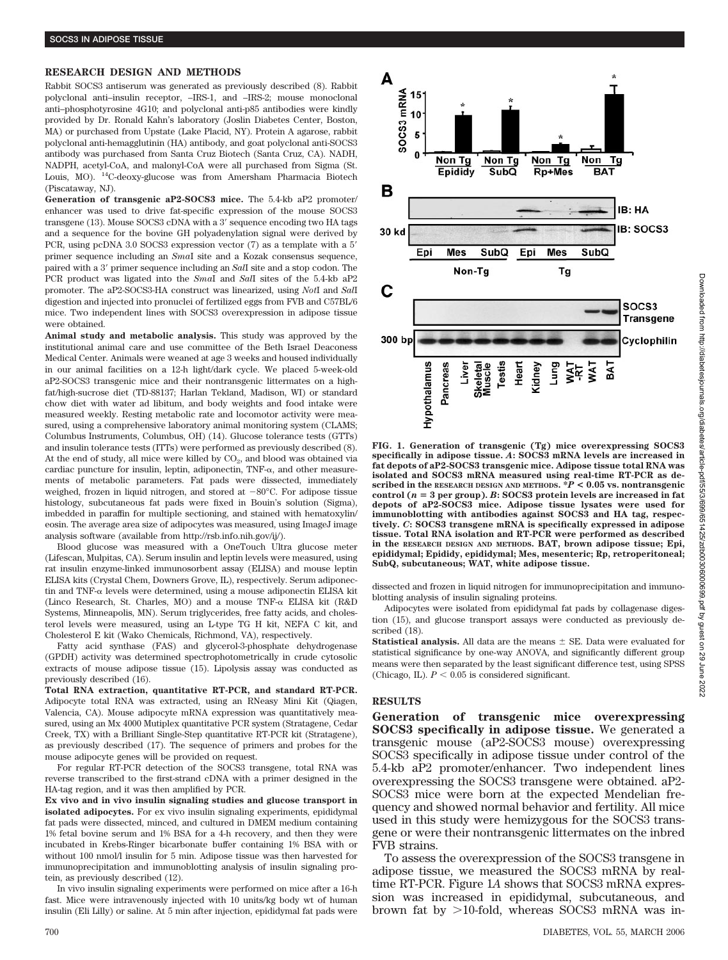## **RESEARCH DESIGN AND METHODS**

Rabbit SOCS3 antiserum was generated as previously described (8). Rabbit polyclonal anti–insulin receptor, –IRS-1, and –IRS-2; mouse monoclonal anti–phosphotyrosine 4G10; and polyclonal anti-p85 antibodies were kindly provided by Dr. Ronald Kahn's laboratory (Joslin Diabetes Center, Boston, MA) or purchased from Upstate (Lake Placid, NY). Protein A agarose, rabbit polyclonal anti-hemagglutinin (HA) antibody, and goat polyclonal anti-SOCS3 antibody was purchased from Santa Cruz Biotech (Santa Cruz, CA). NADH, NADPH, acetyl-CoA, and malonyl-CoA were all purchased from Sigma (St. Louis, MO). 14C-deoxy-glucose was from Amersham Pharmacia Biotech (Piscataway, NJ).

**Generation of transgenic aP2-SOCS3 mice.** The 5.4-kb aP2 promoter/ enhancer was used to drive fat-specific expression of the mouse SOCS3 transgene (13). Mouse SOCS3 cDNA with a 3' sequence encoding two HA tags and a sequence for the bovine GH polyadenylation signal were derived by PCR, using pcDNA 3.0 SOCS3 expression vector (7) as a template with a 5 primer sequence including an *Sma*I site and a Kozak consensus sequence, paired with a 3' primer sequence including an *SalI* site and a stop codon. The PCR product was ligated into the *Sma*I and *Sal*I sites of the 5.4-kb aP2 promoter. The aP2-SOCS3-HA construct was linearized, using *Not*I and *Sal*I digestion and injected into pronuclei of fertilized eggs from FVB and C57BL/6 mice. Two independent lines with SOCS3 overexpression in adipose tissue were obtained.

**Animal study and metabolic analysis.** This study was approved by the institutional animal care and use committee of the Beth Israel Deaconess Medical Center. Animals were weaned at age 3 weeks and housed individually in our animal facilities on a 12-h light/dark cycle. We placed 5-week-old aP2-SOCS3 transgenic mice and their nontransgenic littermates on a highfat/high-sucrose diet (TD-88137; Harlan Tekland, Madison, WI) or standard chow diet with water ad libitum, and body weights and food intake were measured weekly. Resting metabolic rate and locomotor activity were measured, using a comprehensive laboratory animal monitoring system (CLAMS; Columbus Instruments, Columbus, OH) (14). Glucose tolerance tests (GTTs) and insulin tolerance tests (ITTs) were performed as previously described (8). At the end of study, all mice were killed by  $CO<sub>2</sub>$ , and blood was obtained via cardiac puncture for insulin, leptin, adiponectin,  $TNF-\alpha$ , and other measurements of metabolic parameters. Fat pads were dissected, immediately weighed, frozen in liquid nitrogen, and stored at  $-80^{\circ}$ C. For adipose tissue histology, subcutaneous fat pads were fixed in Bouin's solution (Sigma), imbedded in paraffin for multiple sectioning, and stained with hematoxylin/ eosin. The average area size of adipocytes was measured, using ImageJ image analysis software (available from http://rsb.info.nih.gov/ij/).

Blood glucose was measured with a OneTouch Ultra glucose meter (Lifescan, Mulpitas, CA). Serum insulin and leptin levels were measured, using rat insulin enzyme-linked immunosorbent assay (ELISA) and mouse leptin ELISA kits (Crystal Chem, Downers Grove, IL), respectively. Serum adiponectin and TNF- $\alpha$  levels were determined, using a mouse adiponectin ELISA kit (Linco Research, St. Charles, MO) and a mouse  $TNF-\alpha$  ELISA kit (R&D) Systems, Minneapolis, MN). Serum triglycerides, free fatty acids, and cholesterol levels were measured, using an L-type TG H kit, NEFA C kit, and Cholesterol E kit (Wako Chemicals, Richmond, VA), respectively.

Fatty acid synthase (FAS) and glycerol-3-phosphate dehydrogenase (GPDH) activity was determined spectrophotometrically in crude cytosolic extracts of mouse adipose tissue (15). Lipolysis assay was conducted as previously described (16).

**Total RNA extraction, quantitative RT-PCR, and standard RT-PCR.** Adipocyte total RNA was extracted, using an RNeasy Mini Kit (Qiagen, Valencia, CA). Mouse adipocyte mRNA expression was quantitatively measured, using an Mx 4000 Mutiplex quantitative PCR system (Stratagene, Cedar Creek, TX) with a Brilliant Single-Step quantitative RT-PCR kit (Stratagene), as previously described (17). The sequence of primers and probes for the mouse adipocyte genes will be provided on request.

For regular RT-PCR detection of the SOCS3 transgene, total RNA was reverse transcribed to the first-strand cDNA with a primer designed in the HA-tag region, and it was then amplified by PCR.

**Ex vivo and in vivo insulin signaling studies and glucose transport in isolated adipocytes.** For ex vivo insulin signaling experiments, epididymal fat pads were dissected, minced, and cultured in DMEM medium containing 1% fetal bovine serum and 1% BSA for a 4-h recovery, and then they were incubated in Krebs-Ringer bicarbonate buffer containing 1% BSA with or without 100 nmol/l insulin for 5 min. Adipose tissue was then harvested for immunoprecipitation and immunoblotting analysis of insulin signaling protein, as previously described (12).

In vivo insulin signaling experiments were performed on mice after a 16-h fast. Mice were intravenously injected with 10 units/kg body wt of human insulin (Eli Lilly) or saline. At 5 min after injection, epididymal fat pads were



**FIG. 1. Generation of transgenic (Tg) mice overexpressing SOCS3 specifically in adipose tissue.** *A***: SOCS3 mRNA levels are increased in fat depots of aP2-SOCS3 transgenic mice. Adipose tissue total RNA was isolated and SOCS3 mRNA measured using real-time RT-PCR as described in the RESEARCH DESIGN AND METHODS. \****P* **< 0.05 vs. nontransgenic control (***n* - **3 per group).** *B***: SOCS3 protein levels are increased in fat depots of aP2-SOCS3 mice. Adipose tissue lysates were used for immunoblotting with antibodies against SOCS3 and HA tag, respectively.** *C***: SOCS3 transgene mRNA is specifically expressed in adipose tissue. Total RNA isolation and RT-PCR were performed as described in the RESEARCH DESIGN AND METHODS. BAT, brown adipose tissue; Epi, epididymal; Epididy, epididymal; Mes, mesenteric; Rp, retroperitoneal; SubQ, subcutaneous; WAT, white adipose tissue.**

dissected and frozen in liquid nitrogen for immunoprecipitation and immunoblotting analysis of insulin signaling proteins.

Adipocytes were isolated from epididymal fat pads by collagenase digestion (15), and glucose transport assays were conducted as previously described (18).

**Statistical analysis.** All data are the means  $\pm$  SE. Data were evaluated for statistical significance by one-way ANOVA, and significantly different group means were then separated by the least significant difference test, using SPSS (Chicago, IL).  $P < 0.05$  is considered significant.

# **RESULTS**

**Generation of transgenic mice overexpressing SOCS3 specifically in adipose tissue.** We generated a transgenic mouse (aP2-SOCS3 mouse) overexpressing SOCS3 specifically in adipose tissue under control of the 5.4-kb aP2 promoter/enhancer. Two independent lines overexpressing the SOCS3 transgene were obtained. aP2- SOCS3 mice were born at the expected Mendelian frequency and showed normal behavior and fertility. All mice used in this study were hemizygous for the SOCS3 transgene or were their nontransgenic littermates on the inbred FVB strains.

To assess the overexpression of the SOCS3 transgene in adipose tissue, we measured the SOCS3 mRNA by realtime RT-PCR. Figure 1*A* shows that SOCS3 mRNA expression was increased in epididymal, subcutaneous, and brown fat by  $>$ 10-fold, whereas SOCS3 mRNA was in-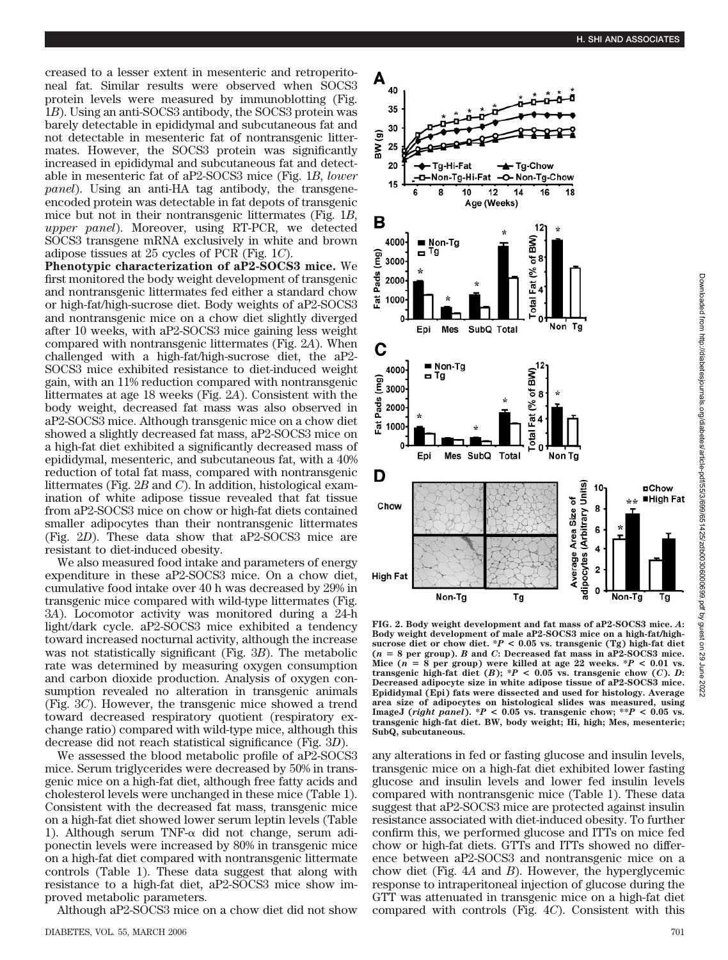creased to a lesser extent in mesenteric and retroperitoneal fat. Similar results were observed when SOCS3 protein levels were measured by immunoblotting (Fig. 1*B*). Using an anti-SOCS3 antibody, the SOCS3 protein was barely detectable in epididymal and subcutaneous fat and not detectable in mesenteric fat of nontransgenic littermates. However, the SOCS3 protein was significantly increased in epididymal and subcutaneous fat and detectable in mesenteric fat of aP2-SOCS3 mice (Fig. 1*B*, *lower panel*). Using an anti-HA tag antibody, the transgeneencoded protein was detectable in fat depots of transgenic mice but not in their nontransgenic littermates (Fig. 1*B*, *upper panel*). Moreover, using RT-PCR, we detected SOCS3 transgene mRNA exclusively in white and brown adipose tissues at 25 cycles of PCR (Fig. 1*C*).

**Phenotypic characterization of aP2-SOCS3 mice.** We first monitored the body weight development of transgenic and nontransgenic littermates fed either a standard chow or high-fat/high-sucrose diet. Body weights of aP2-SOCS3 and nontransgenic mice on a chow diet slightly diverged after 10 weeks, with aP2-SOCS3 mice gaining less weight compared with nontransgenic littermates (Fig. 2*A*). When challenged with a high-fat/high-sucrose diet, the aP2- SOCS3 mice exhibited resistance to diet-induced weight gain, with an 11% reduction compared with nontransgenic littermates at age 18 weeks (Fig. 2*A*). Consistent with the body weight, decreased fat mass was also observed in aP2-SOCS3 mice. Although transgenic mice on a chow diet showed a slightly decreased fat mass, aP2-SOCS3 mice on a high-fat diet exhibited a significantly decreased mass of epididymal, mesenteric, and subcutaneous fat, with a 40% reduction of total fat mass, compared with nontransgenic littermates (Fig. 2*B* and *C*). In addition, histological examination of white adipose tissue revealed that fat tissue from aP2-SOCS3 mice on chow or high-fat diets contained smaller adipocytes than their nontransgenic littermates (Fig. 2*D*). These data show that aP2-SOCS3 mice are resistant to diet-induced obesity.

We also measured food intake and parameters of energy expenditure in these aP2-SOCS3 mice. On a chow diet, cumulative food intake over 40 h was decreased by 29% in transgenic mice compared with wild-type littermates (Fig. 3*A*). Locomotor activity was monitored during a 24-h light/dark cycle. aP2-SOCS3 mice exhibited a tendency toward increased nocturnal activity, although the increase was not statistically significant (Fig. 3*B*). The metabolic rate was determined by measuring oxygen consumption and carbon dioxide production. Analysis of oxygen consumption revealed no alteration in transgenic animals (Fig. 3*C*). However, the transgenic mice showed a trend toward decreased respiratory quotient (respiratory exchange ratio) compared with wild-type mice, although this decrease did not reach statistical significance (Fig. 3*D*).

We assessed the blood metabolic profile of aP2-SOCS3 mice. Serum triglycerides were decreased by 50% in transgenic mice on a high-fat diet, although free fatty acids and cholesterol levels were unchanged in these mice (Table 1). Consistent with the decreased fat mass, transgenic mice on a high-fat diet showed lower serum leptin levels (Table 1). Although serum TNF- $\alpha$  did not change, serum adiponectin levels were increased by 80% in transgenic mice on a high-fat diet compared with nontransgenic littermate controls (Table 1). These data suggest that along with resistance to a high-fat diet, aP2-SOCS3 mice show improved metabolic parameters.

Although aP2-SOCS3 mice on a chow diet did not show



**FIG. 2. Body weight development and fat mass of aP2-SOCS3 mice.** *A***: Body weight development of male aP2-SOCS3 mice on a high-fat/high**sucrose diet or chow diet.  $*P < 0.05$  vs. transgenic (Tg) high-fat diet **(***n* - **8 per group).** *B* **and** *C***: Decreased fat mass in aP2-SOCS3 mice.** Mice  $(n = 8$  per group) were killed at age 22 weeks.  $*P < 0.01$  vs. **transgenic high-fat diet**  $(B)$ **;**  $^*P < 0.05$  **vs. transgenic chow**  $(C)$ **.** *D***: Decreased adipocyte size in white adipose tissue of aP2-SOCS3 mice. Epididymal (Epi) fats were dissected and used for histology. Average area size of adipocytes on histological slides was measured, using** ImageJ (*right panel*). \* $P < 0.05$  vs. transgenic chow; \*\* $P < 0.05$  vs. **transgenic high-fat diet. BW, body weight; Hi, high; Mes, mesenteric; SubQ, subcutaneous.**

any alterations in fed or fasting glucose and insulin levels, transgenic mice on a high-fat diet exhibited lower fasting glucose and insulin levels and lower fed insulin levels compared with nontransgenic mice (Table 1). These data suggest that aP2-SOCS3 mice are protected against insulin resistance associated with diet-induced obesity. To further confirm this, we performed glucose and ITTs on mice fed chow or high-fat diets. GTTs and ITTs showed no difference between aP2-SOCS3 and nontransgenic mice on a chow diet (Fig. 4*A* and *B*). However, the hyperglycemic response to intraperitoneal injection of glucose during the GTT was attenuated in transgenic mice on a high-fat diet compared with controls (Fig. 4*C*). Consistent with this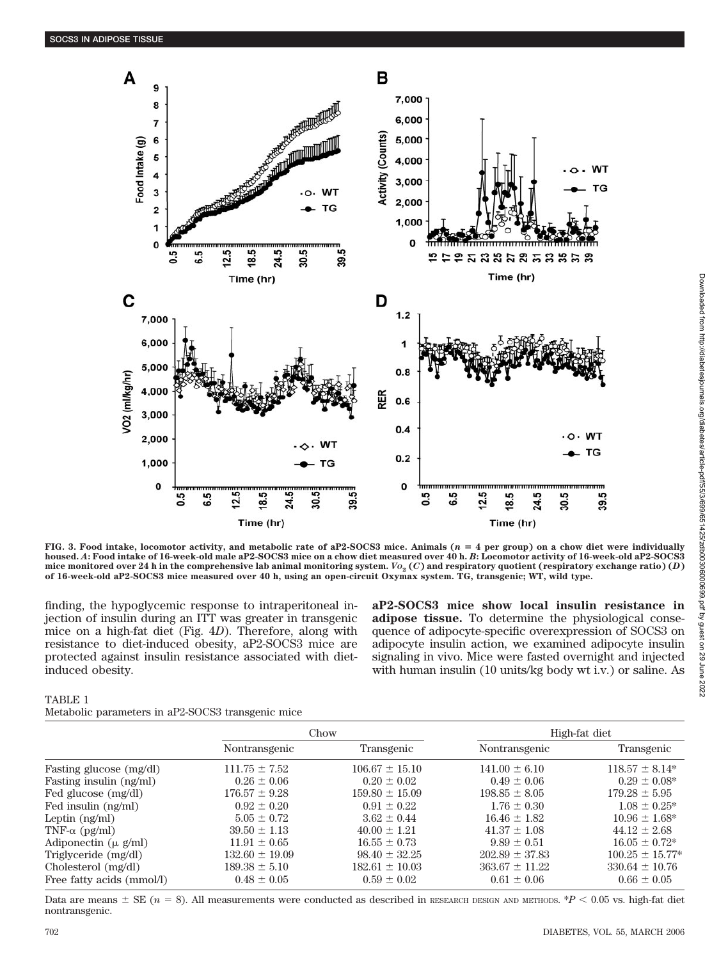

**FIG. 3. Food intake, locomotor activity, and metabolic rate of aP2-SOCS3 mice. Animals (***n* - **4 per group) on a chow diet were individually housed.** *A***: Food intake of 16-week-old male aP2-SOCS3 mice on a chow diet measured over 40 h.** *B***: Locomotor activity of 16-week-old aP2-SOCS3** mice monitored over 24 h in the comprehensive lab animal monitoring system.  $V_2(C)$  and respiratory quotient (respiratory exchange ratio) (*D*) **of 16-week-old aP2-SOCS3 mice measured over 40 h, using an open-circuit Oxymax system. TG, transgenic; WT, wild type.**

finding, the hypoglycemic response to intraperitoneal injection of insulin during an ITT was greater in transgenic mice on a high-fat diet (Fig. 4*D*). Therefore, along with resistance to diet-induced obesity, aP2-SOCS3 mice are protected against insulin resistance associated with dietinduced obesity.

**aP2-SOCS3 mice show local insulin resistance in adipose tissue.** To determine the physiological consequence of adipocyte-specific overexpression of SOCS3 on adipocyte insulin action, we examined adipocyte insulin signaling in vivo. Mice were fasted overnight and injected with human insulin (10 units/kg body wt i.v.) or saline. As

# TABLE 1

| Metabolic parameters in aP2-SOCS3 transgenic mice |  |  |
|---------------------------------------------------|--|--|
|                                                   |  |  |

|                                  | Chow               |                    | High-fat diet      |                     |
|----------------------------------|--------------------|--------------------|--------------------|---------------------|
|                                  | Nontransgenic      | Transgenic         | Nontransgenic      | Transgenic          |
| Fasting glucose (mg/dl)          | $111.75 \pm 7.52$  | $106.67 \pm 15.10$ | $141.00 \pm 6.10$  | $118.57 \pm 8.14*$  |
| Fasting insulin (ng/ml)          | $0.26 \pm 0.06$    | $0.20 \pm 0.02$    | $0.49 \pm 0.06$    | $0.29 \pm 0.08^*$   |
| Fed glucose (mg/dl)              | $176.57 \pm 9.28$  | $159.80 \pm 15.09$ | $198.85 \pm 8.05$  | $179.28 \pm 5.95$   |
| Fed insulin (ng/ml)              | $0.92 \pm 0.20$    | $0.91 \pm 0.22$    | $1.76 \pm 0.30$    | $1.08 \pm 0.25^*$   |
| Leptin $(ng/ml)$                 | $5.05 \pm 0.72$    | $3.62 \pm 0.44$    | $16.46 \pm 1.82$   | $10.96 \pm 1.68^*$  |
| TNF- $\alpha$ (pg/ml)            | $39.50 \pm 1.13$   | $40.00 \pm 1.21$   | $41.37 \pm 1.08$   | $44.12 \pm 2.68$    |
| Adiponectin $(\mu \text{ g/ml})$ | $11.91 \pm 0.65$   | $16.55 \pm 0.73$   | $9.89 \pm 0.51$    | $16.05 \pm 0.72^*$  |
| Triglyceride (mg/dl)             | $132.60 \pm 19.09$ | $98.40 \pm 32.25$  | $202.89 \pm 37.83$ | $100.25 \pm 15.77*$ |
| Cholesterol (mg/dl)              | $189.38 \pm 5.10$  | $182.61 \pm 10.03$ | $363.67 \pm 11.22$ | $330.64 \pm 10.76$  |
| Free fatty acids (mmol/l)        | $0.48 \pm 0.05$    | $0.59 \pm 0.02$    | $0.61 \pm 0.06$    | $0.66 \pm 0.05$     |

Data are means  $\pm$  SE ( $n = 8$ ). All measurements were conducted as described in RESEARCH DESIGN AND METHODS.  $P < 0.05$  vs. high-fat diet nontransgenic.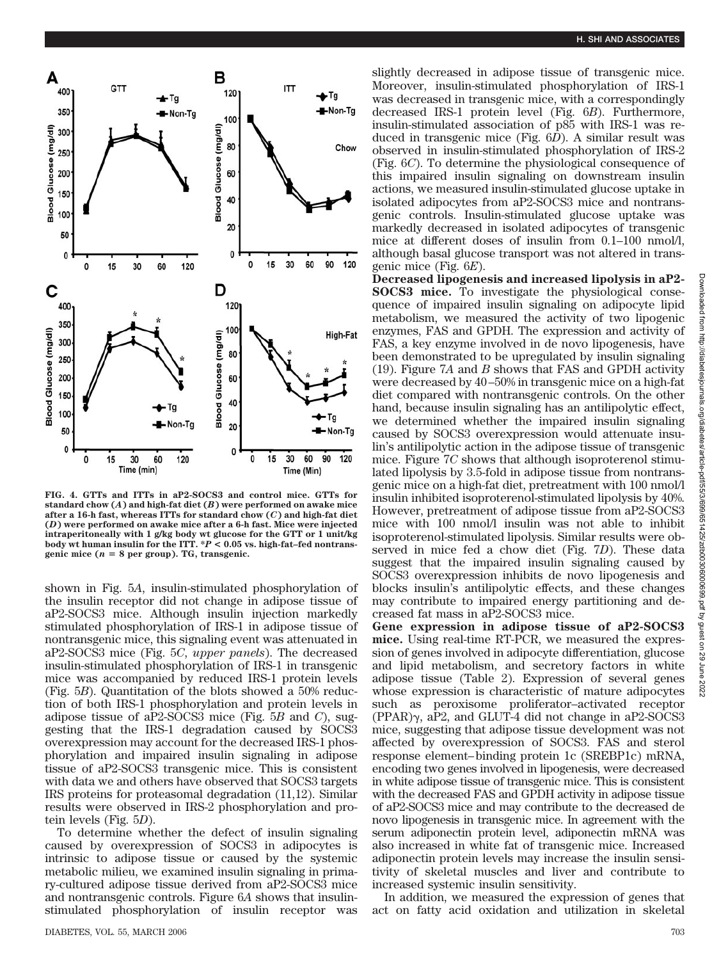

**FIG. 4. GTTs and ITTs in aP2-SOCS3 and control mice. GTTs for standard chow (***A***) and high-fat diet (***B***) were performed on awake mice after a 16-h fast, whereas ITTs for standard chow (***C***) and high-fat diet (***D***) were performed on awake mice after a 6-h fast. Mice were injected intraperitoneally with 1 g/kg body wt glucose for the GTT or 1 unit/kg body wt human insulin for the ITT. \****P* **< 0.05 vs. high-fat–fed nontransgenic mice (***n* - **8 per group). TG, transgenic.**

shown in Fig. 5*A*, insulin-stimulated phosphorylation of the insulin receptor did not change in adipose tissue of aP2-SOCS3 mice. Although insulin injection markedly stimulated phosphorylation of IRS-1 in adipose tissue of nontransgenic mice, this signaling event was attenuated in aP2-SOCS3 mice (Fig. 5*C*, *upper panels*). The decreased insulin-stimulated phosphorylation of IRS-1 in transgenic mice was accompanied by reduced IRS-1 protein levels (Fig. 5*B*). Quantitation of the blots showed a 50% reduction of both IRS-1 phosphorylation and protein levels in adipose tissue of aP2-SOCS3 mice (Fig. 5*B* and *C*), suggesting that the IRS-1 degradation caused by SOCS3 overexpression may account for the decreased IRS-1 phosphorylation and impaired insulin signaling in adipose tissue of aP2-SOCS3 transgenic mice. This is consistent with data we and others have observed that SOCS3 targets IRS proteins for proteasomal degradation (11,12). Similar results were observed in IRS-2 phosphorylation and protein levels (Fig. 5*D*).

To determine whether the defect of insulin signaling caused by overexpression of SOCS3 in adipocytes is intrinsic to adipose tissue or caused by the systemic metabolic milieu, we examined insulin signaling in primary-cultured adipose tissue derived from aP2-SOCS3 mice and nontransgenic controls. Figure 6*A* shows that insulinstimulated phosphorylation of insulin receptor was slightly decreased in adipose tissue of transgenic mice. Moreover, insulin-stimulated phosphorylation of IRS-1 was decreased in transgenic mice, with a correspondingly decreased IRS-1 protein level (Fig. 6*B*). Furthermore, insulin-stimulated association of p85 with IRS-1 was reduced in transgenic mice (Fig. 6*D*). A similar result was observed in insulin-stimulated phosphorylation of IRS-2 (Fig. 6*C*). To determine the physiological consequence of this impaired insulin signaling on downstream insulin actions, we measured insulin-stimulated glucose uptake in isolated adipocytes from aP2-SOCS3 mice and nontransgenic controls. Insulin-stimulated glucose uptake was markedly decreased in isolated adipocytes of transgenic mice at different doses of insulin from  $0.1-100$  nmol/l, although basal glucose transport was not altered in transgenic mice (Fig. 6*E*).

**Decreased lipogenesis and increased lipolysis in aP2- SOCS3 mice.** To investigate the physiological consequence of impaired insulin signaling on adipocyte lipid metabolism, we measured the activity of two lipogenic enzymes, FAS and GPDH. The expression and activity of FAS, a key enzyme involved in de novo lipogenesis, have been demonstrated to be upregulated by insulin signaling (19). Figure 7*A* and *B* shows that FAS and GPDH activity were decreased by 40 –50% in transgenic mice on a high-fat diet compared with nontransgenic controls. On the other hand, because insulin signaling has an antilipolytic effect, we determined whether the impaired insulin signaling caused by SOCS3 overexpression would attenuate insulin's antilipolytic action in the adipose tissue of transgenic mice. Figure 7*C* shows that although isoproterenol stimulated lipolysis by 3.5-fold in adipose tissue from nontransgenic mice on a high-fat diet, pretreatment with 100 nmol/l insulin inhibited isoproterenol-stimulated lipolysis by 40%. However, pretreatment of adipose tissue from aP2-SOCS3 mice with 100 nmol/l insulin was not able to inhibit isoproterenol-stimulated lipolysis. Similar results were observed in mice fed a chow diet (Fig. 7*D*). These data suggest that the impaired insulin signaling caused by SOCS3 overexpression inhibits de novo lipogenesis and blocks insulin's antilipolytic effects, and these changes may contribute to impaired energy partitioning and decreased fat mass in aP2-SOCS3 mice.

**Gene expression in adipose tissue of aP2-SOCS3 mice.** Using real-time RT-PCR, we measured the expression of genes involved in adipocyte differentiation, glucose and lipid metabolism, and secretory factors in white adipose tissue (Table 2). Expression of several genes whose expression is characteristic of mature adipocytes such as peroxisome proliferator–activated receptor  $(PPAR)\gamma$ , aP2, and GLUT-4 did not change in aP2-SOCS3 mice, suggesting that adipose tissue development was not affected by overexpression of SOCS3. FAS and sterol response element– binding protein 1c (SREBP1c) mRNA, encoding two genes involved in lipogenesis, were decreased in white adipose tissue of transgenic mice. This is consistent with the decreased FAS and GPDH activity in adipose tissue of aP2-SOCS3 mice and may contribute to the decreased de novo lipogenesis in transgenic mice. In agreement with the serum adiponectin protein level, adiponectin mRNA was also increased in white fat of transgenic mice. Increased adiponectin protein levels may increase the insulin sensitivity of skeletal muscles and liver and contribute to increased systemic insulin sensitivity.

In addition, we measured the expression of genes that act on fatty acid oxidation and utilization in skeletal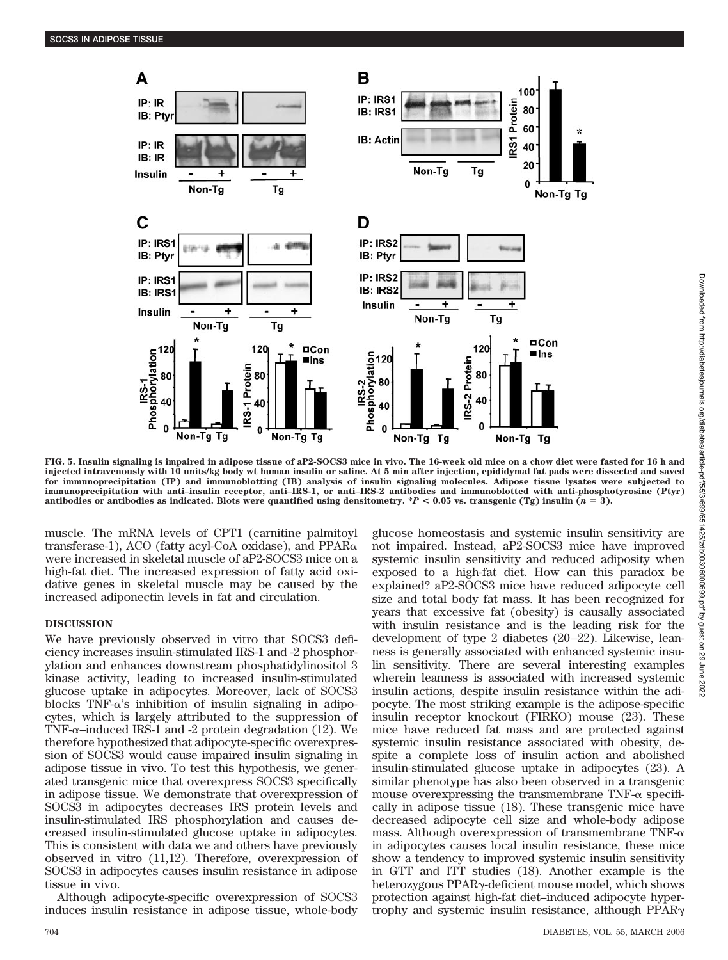

**FIG. 5. Insulin signaling is impaired in adipose tissue of aP2-SOCS3 mice in vivo. The 16-week old mice on a chow diet were fasted for 16 h and injected intravenously with 10 units/kg body wt human insulin or saline. At 5 min after injection, epididymal fat pads were dissected and saved for immunoprecipitation (IP) and immunoblotting (IB) analysis of insulin signaling molecules. Adipose tissue lysates were subjected to immunoprecipitation with anti–insulin receptor, anti–IRS-1, or anti–IRS-2 antibodies and immunoblotted with anti-phosphotyrosine (Ptyr)** antibodies or antibodies as indicated. Blots were quantified using densitometry.  $*P < 0.05$  vs. transgenic (Tg) insulin ( $n = 3$ ).

muscle. The mRNA levels of CPT1 (carnitine palmitoyl transferase-1), ACO (fatty acyl-CoA oxidase), and  $PPAR\alpha$ were increased in skeletal muscle of aP2-SOCS3 mice on a high-fat diet. The increased expression of fatty acid oxidative genes in skeletal muscle may be caused by the increased adiponectin levels in fat and circulation.

## **DISCUSSION**

We have previously observed in vitro that SOCS3 deficiency increases insulin-stimulated IRS-1 and -2 phosphorylation and enhances downstream phosphatidylinositol 3 kinase activity, leading to increased insulin-stimulated glucose uptake in adipocytes. Moreover, lack of SOCS3 blocks  $TNF-\alpha's$  inhibition of insulin signaling in adipocytes, which is largely attributed to the suppression of TNF- $\alpha$ –induced IRS-1 and -2 protein degradation (12). We therefore hypothesized that adipocyte-specific overexpression of SOCS3 would cause impaired insulin signaling in adipose tissue in vivo. To test this hypothesis, we generated transgenic mice that overexpress SOCS3 specifically in adipose tissue. We demonstrate that overexpression of SOCS3 in adipocytes decreases IRS protein levels and insulin-stimulated IRS phosphorylation and causes decreased insulin-stimulated glucose uptake in adipocytes. This is consistent with data we and others have previously observed in vitro (11,12). Therefore, overexpression of SOCS3 in adipocytes causes insulin resistance in adipose tissue in vivo.

Although adipocyte-specific overexpression of SOCS3 induces insulin resistance in adipose tissue, whole-body glucose homeostasis and systemic insulin sensitivity are not impaired. Instead, aP2-SOCS3 mice have improved systemic insulin sensitivity and reduced adiposity when exposed to a high-fat diet. How can this paradox be explained? aP2-SOCS3 mice have reduced adipocyte cell size and total body fat mass. It has been recognized for years that excessive fat (obesity) is causally associated with insulin resistance and is the leading risk for the development of type 2 diabetes (20 –22). Likewise, leanness is generally associated with enhanced systemic insulin sensitivity. There are several interesting examples wherein leanness is associated with increased systemic insulin actions, despite insulin resistance within the adipocyte. The most striking example is the adipose-specific insulin receptor knockout (FIRKO) mouse (23). These mice have reduced fat mass and are protected against systemic insulin resistance associated with obesity, despite a complete loss of insulin action and abolished insulin-stimulated glucose uptake in adipocytes (23). A similar phenotype has also been observed in a transgenic mouse overexpressing the transmembrane TNF- $\alpha$  specifically in adipose tissue (18). These transgenic mice have decreased adipocyte cell size and whole-body adipose mass. Although overexpression of transmembrane TNF- $\alpha$ in adipocytes causes local insulin resistance, these mice show a tendency to improved systemic insulin sensitivity in GTT and ITT studies (18). Another example is the heterozygous PPAR<sub>Y</sub>-deficient mouse model, which shows protection against high-fat diet–induced adipocyte hypertrophy and systemic insulin resistance, although PPAR<sub>Y</sub>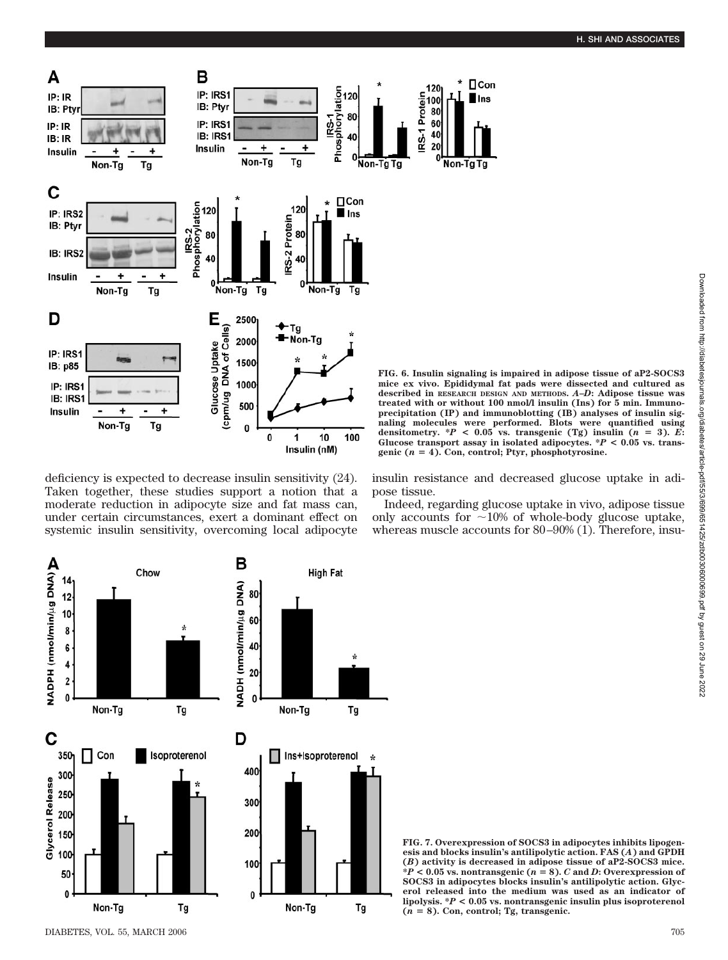

deficiency is expected to decrease insulin sensitivity (24). Taken together, these studies support a notion that a moderate reduction in adipocyte size and fat mass can, under certain circumstances, exert a dominant effect on systemic insulin sensitivity, overcoming local adipocyte

**FIG. 6. Insulin signaling is impaired in adipose tissue of aP2-SOCS3 mice ex vivo. Epididymal fat pads were dissected and cultured as described in RESEARCH DESIGN AND METHODS.** *A***–***D***: Adipose tissue was treated with or without 100 nmol/l insulin (Ins) for 5 min. Immunoprecipitation (IP) and immunoblotting (IB) analyses of insulin signaling molecules were performed. Blots were quantified using** densitometry.  $*P < 0.05$  vs. transgenic (Tg) insulin ( $n = 3$ ). *E*: Glucose transport assay in isolated adipocytes.  $P < 0.05$  vs. trans**genic (***n* - **4). Con, control; Ptyr, phosphotyrosine.**

 $\Box$ Con

Ins

insulin resistance and decreased glucose uptake in adipose tissue.

Indeed, regarding glucose uptake in vivo, adipose tissue only accounts for  $\sim$ 10% of whole-body glucose uptake, whereas muscle accounts for 80-90% (1). Therefore, insu-



**FIG. 7. Overexpression of SOCS3 in adipocytes inhibits lipogenesis and blocks insulin's antilipolytic action. FAS (***A***) and GPDH (***B***) activity is decreased in adipose tissue of aP2-SOCS3 mice.**  $*P < 0.05$  vs. nontransgenic ( $n = 8$ ). *C* and *D*: Overexpression of **SOCS3 in adipocytes blocks insulin's antilipolytic action. Glycerol released into the medium was used as an indicator of lipolysis. \****P* **< 0.05 vs. nontransgenic insulin plus isoproterenol (***n* - **8). Con, control; Tg, transgenic.**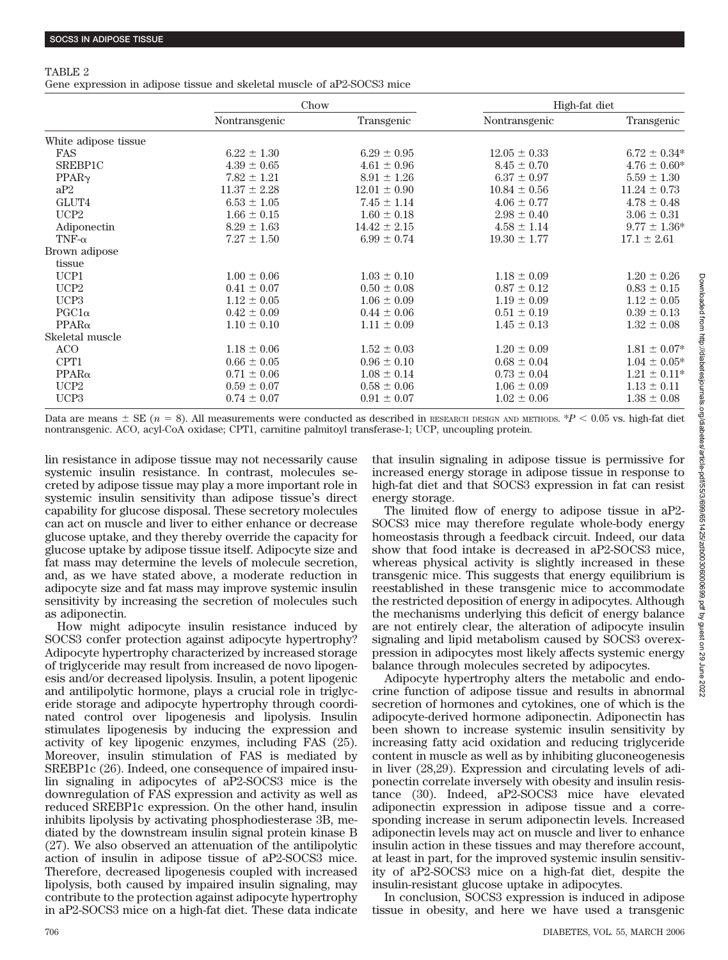### TABLE 2

Gene expression in adipose tissue and skeletal muscle of aP2-SOCS3 mice

|                      | Chow             |                  | High-fat diet    |                   |
|----------------------|------------------|------------------|------------------|-------------------|
|                      | Nontransgenic    | Transgenic       | Nontransgenic    | Transgenic        |
| White adipose tissue |                  |                  |                  |                   |
| <b>FAS</b>           | $6.22 \pm 1.30$  | $6.29 \pm 0.95$  | $12.05 \pm 0.33$ | $6.72 \pm 0.34*$  |
| SREBP1C              | $4.39 \pm 0.65$  | $4.61 \pm 0.96$  | $8.45 \pm 0.70$  | $4.76 \pm 0.60*$  |
| PPAR <sub>Y</sub>    | $7.82 \pm 1.21$  | $8.91 \pm 1.26$  | $6.37 \pm 0.97$  | $5.59 \pm 1.30$   |
| aP2                  | $11.37 \pm 2.28$ | $12.01 \pm 0.90$ | $10.84 \pm 0.56$ | $11.24 \pm 0.73$  |
| GLUT4                | $6.53 \pm 1.05$  | $7.45 \pm 1.14$  | $4.06 \pm 0.77$  | $4.78 \pm 0.48$   |
| UCP <sub>2</sub>     | $1.66 \pm 0.15$  | $1.60 \pm 0.18$  | $2.98 \pm 0.40$  | $3.06 \pm 0.31$   |
| Adiponectin          | $8.29 \pm 1.63$  | $14.42 \pm 2.15$ | $4.58 \pm 1.14$  | $9.77 \pm 1.36^*$ |
| TNF- $\alpha$        | $7.27 \pm 1.50$  | $6.99 \pm 0.74$  | $19.30 \pm 1.77$ | $17.1 \pm 2.61$   |
| Brown adipose        |                  |                  |                  |                   |
| tissue               |                  |                  |                  |                   |
| UCP1                 | $1.00 \pm 0.06$  | $1.03 \pm 0.10$  | $1.18 \pm 0.09$  | $1.20 \pm 0.26$   |
| UCP <sub>2</sub>     | $0.41 \pm 0.07$  | $0.50 \pm 0.08$  | $0.87 \pm 0.12$  | $0.83 \pm 0.15$   |
| UCP <sub>3</sub>     | $1.12 \pm 0.05$  | $1.06 \pm 0.09$  | $1.19 \pm 0.09$  | $1.12 \pm 0.05$   |
| $PGC1\alpha$         | $0.42 \pm 0.09$  | $0.44 \pm 0.06$  | $0.51 \pm 0.19$  | $0.39 \pm 0.13$   |
| $PPAR\alpha$         | $1.10 \pm 0.10$  | $1.11 \pm 0.09$  | $1.45 \pm 0.13$  | $1.32 \pm 0.08$   |
| Skeletal muscle      |                  |                  |                  |                   |
| ACO                  | $1.18 \pm 0.06$  | $1.52 \pm 0.03$  | $1.20 \pm 0.09$  | $1.81 \pm 0.07^*$ |
| CPT1                 | $0.66 \pm 0.05$  | $0.96 \pm 0.10$  | $0.68 \pm 0.04$  | $1.04 \pm 0.05^*$ |
| $PPAR\alpha$         | $0.71 \pm 0.06$  | $1.08 \pm 0.14$  | $0.73 \pm 0.04$  | $1.21 \pm 0.11*$  |
| UCP2                 | $0.59 \pm 0.07$  | $0.58 \pm 0.06$  | $1.06 \pm 0.09$  | $1.13 \pm 0.11$   |
| UCP3                 | $0.74 \pm 0.07$  | $0.91 \pm 0.07$  | $1.02 \pm 0.06$  | $1.38 \pm 0.08$   |

Data are means  $\pm$  SE ( $n = 8$ ). All measurements were conducted as described in RESEARCH DESIGN AND METHODS.  $*P < 0.05$  vs. high-fat diet nontransgenic. ACO, acyl-CoA oxidase; CPT1, carnitine palmitoyl transferase-1; UCP, uncoupling protein.

lin resistance in adipose tissue may not necessarily cause systemic insulin resistance. In contrast, molecules secreted by adipose tissue may play a more important role in systemic insulin sensitivity than adipose tissue's direct capability for glucose disposal. These secretory molecules can act on muscle and liver to either enhance or decrease glucose uptake, and they thereby override the capacity for glucose uptake by adipose tissue itself. Adipocyte size and fat mass may determine the levels of molecule secretion, and, as we have stated above, a moderate reduction in adipocyte size and fat mass may improve systemic insulin sensitivity by increasing the secretion of molecules such as adiponectin.

How might adipocyte insulin resistance induced by SOCS3 confer protection against adipocyte hypertrophy? Adipocyte hypertrophy characterized by increased storage of triglyceride may result from increased de novo lipogenesis and/or decreased lipolysis. Insulin, a potent lipogenic and antilipolytic hormone, plays a crucial role in triglyceride storage and adipocyte hypertrophy through coordinated control over lipogenesis and lipolysis. Insulin stimulates lipogenesis by inducing the expression and activity of key lipogenic enzymes, including FAS (25). Moreover, insulin stimulation of FAS is mediated by SREBP1c (26). Indeed, one consequence of impaired insulin signaling in adipocytes of aP2-SOCS3 mice is the downregulation of FAS expression and activity as well as reduced SREBP1c expression. On the other hand, insulin inhibits lipolysis by activating phosphodiesterase 3B, mediated by the downstream insulin signal protein kinase B (27). We also observed an attenuation of the antilipolytic action of insulin in adipose tissue of aP2-SOCS3 mice. Therefore, decreased lipogenesis coupled with increased lipolysis, both caused by impaired insulin signaling, may contribute to the protection against adipocyte hypertrophy in aP2-SOCS3 mice on a high-fat diet. These data indicate that insulin signaling in adipose tissue is permissive for increased energy storage in adipose tissue in response to high-fat diet and that SOCS3 expression in fat can resist energy storage.

The limited flow of energy to adipose tissue in aP2- SOCS3 mice may therefore regulate whole-body energy homeostasis through a feedback circuit. Indeed, our data show that food intake is decreased in aP2-SOCS3 mice, whereas physical activity is slightly increased in these transgenic mice. This suggests that energy equilibrium is reestablished in these transgenic mice to accommodate the restricted deposition of energy in adipocytes. Although the mechanisms underlying this deficit of energy balance are not entirely clear, the alteration of adipocyte insulin signaling and lipid metabolism caused by SOCS3 overexpression in adipocytes most likely affects systemic energy balance through molecules secreted by adipocytes.

Adipocyte hypertrophy alters the metabolic and endocrine function of adipose tissue and results in abnormal secretion of hormones and cytokines, one of which is the adipocyte-derived hormone adiponectin. Adiponectin has been shown to increase systemic insulin sensitivity by increasing fatty acid oxidation and reducing triglyceride content in muscle as well as by inhibiting gluconeogenesis in liver (28,29). Expression and circulating levels of adiponectin correlate inversely with obesity and insulin resistance (30). Indeed, aP2-SOCS3 mice have elevated adiponectin expression in adipose tissue and a corresponding increase in serum adiponectin levels. Increased adiponectin levels may act on muscle and liver to enhance insulin action in these tissues and may therefore account, at least in part, for the improved systemic insulin sensitivity of aP2-SOCS3 mice on a high-fat diet, despite the insulin-resistant glucose uptake in adipocytes.

In conclusion, SOCS3 expression is induced in adipose tissue in obesity, and here we have used a transgenic